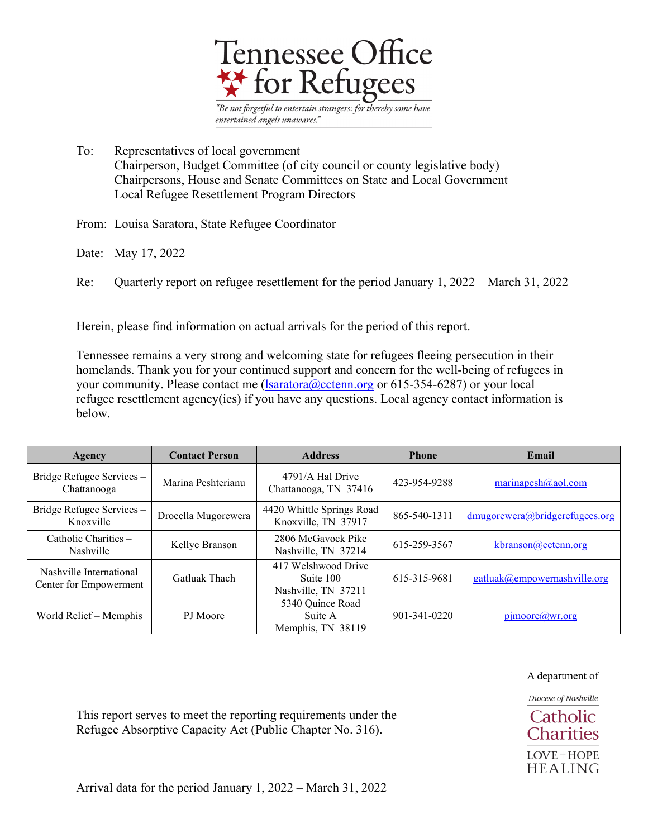

To: Representatives of local government Chairperson, Budget Committee (of city council or county legislative body) Chairpersons, House and Senate Committees on State and Local Government Local Refugee Resettlement Program Directors

From: Louisa Saratora, State Refugee Coordinator

Date: May 17, 2022

Re: Quarterly report on refugee resettlement for the period January 1, 2022 – March 31, 2022

Herein, please find information on actual arrivals for the period of this report.

Tennessee remains a very strong and welcoming state for refugees fleeing persecution in their homelands. Thank you for your continued support and concern for the well-being of refugees in your community. Please contact me  $(Isaratora@cctenn.org$  or 615-354-6287) or your local refugee resettlement agency(ies) if you have any questions. Local agency contact information is below.

| Agency                                            | <b>Contact Person</b> | <b>Address</b>                                          | <b>Phone</b>       | Email                          |
|---------------------------------------------------|-----------------------|---------------------------------------------------------|--------------------|--------------------------------|
| Bridge Refugee Services -<br>Chattanooga          | Marina Peshterianu    | 4791/A Hal Drive<br>Chattanooga, TN 37416               | 423-954-9288       | marinapesh $(a)$ aol.com       |
| Bridge Refugee Services -<br>Knoxville            | Drocella Mugorewera   | 4420 Whittle Springs Road<br>Knoxville, TN 37917        | 865-540-1311       | dmugorewera@bridgerefugees.org |
| Catholic Charities -<br>Nashville                 | Kellye Branson        | 2806 McGavock Pike<br>Nashville, TN 37214               | 615-259-3567       | kbranson@cctenn.org            |
| Nashville International<br>Center for Empowerment | Gatluak Thach         | 417 Welshwood Drive<br>Suite 100<br>Nashville, TN 37211 | 615-315-9681       | gatluak@empowernashville.org   |
| World Relief – Memphis                            | PJ Moore              | 5340 Quince Road<br>Suite A<br>Memphis, TN 38119        | $901 - 341 - 0220$ | pimoore@wr.org                 |

A department of

Diocese of Nashville Catholic **Charities** LOVE + HOPE **HEALING** 

This report serves to meet the reporting requirements under the Refugee Absorptive Capacity Act (Public Chapter No. 316).